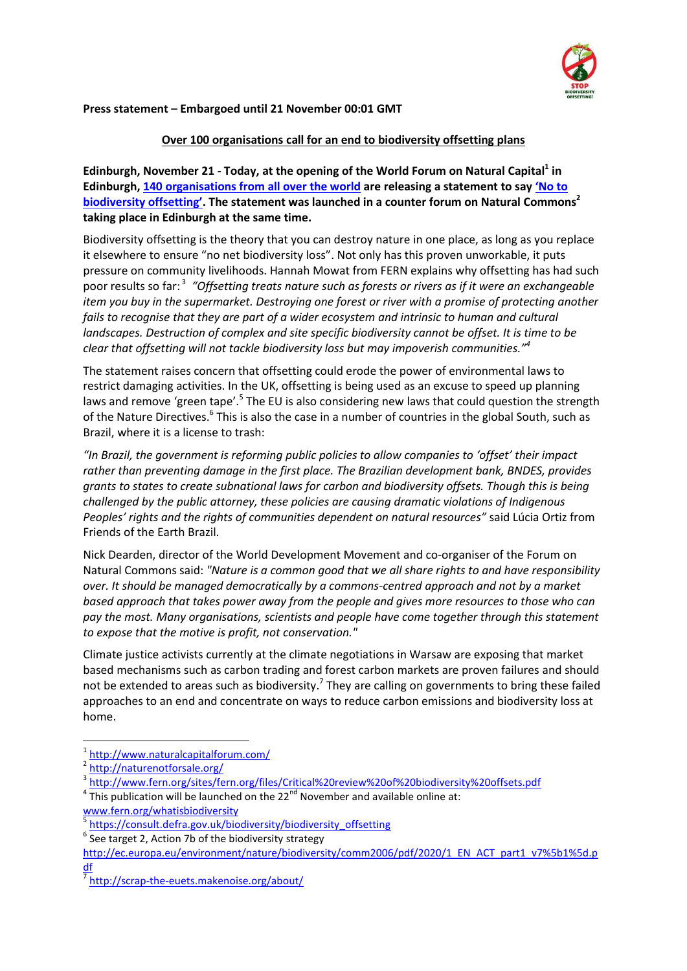

# **Press statement – Embargoed until 21 November 00:01 GMT**

# **Over 100 organisations call for an end to biodiversity offsetting plans**

**Edinburgh, November 21 - Today, at the opening of the World Forum on Natural Capital<sup>1</sup> in Edinburgh, [140 organisations from all over the world](http://no-biodiversity-offsets.makenoise.org/list-of-signatories/) are releasing a statement to say '[No to](http://no-biodiversity-offsets.makenoise.org/)  [biodiversity offsetting](http://no-biodiversity-offsets.makenoise.org/)'. The statement was launched in a counter forum on Natural Commons<sup>2</sup> taking place in Edinburgh at the same time.**

Biodiversity offsetting is the theory that you can destroy nature in one place, as long as you replace it elsewhere to ensure "no net biodiversity loss". Not only has this proven unworkable, it puts pressure on community livelihoods. Hannah Mowat from FERN explains why offsetting has had such poor results so far: <sup>3</sup> *"Offsetting treats nature such as forests or rivers as if it were an exchangeable item you buy in the supermarket. Destroying one forest or river with a promise of protecting another fails to recognise that they are part of a wider ecosystem and intrinsic to human and cultural landscapes. Destruction of complex and site specific biodiversity cannot be offset. It is time to be clear that offsetting will not tackle biodiversity loss but may impoverish communities."<sup>4</sup>*

The statement raises concern that offsetting could erode the power of environmental laws to restrict damaging activities. In the UK, offsetting is being used as an excuse to speed up planning laws and remove 'green tape'.<sup>5</sup> The EU is also considering new laws that could question the strength of the Nature Directives.<sup>6</sup> This is also the case in a number of countries in the global South, such as Brazil, where it is a license to trash:

*"In Brazil, the government is reforming public policies to allow companies to 'offset' their impact rather than preventing damage in the first place. The Brazilian development bank, BNDES, provides grants to states to create subnational laws for carbon and biodiversity offsets. Though this is being challenged by the public attorney, these policies are causing dramatic violations of Indigenous Peoples' rights and the rights of communities dependent on natural resources"* said Lúcia Ortiz from Friends of the Earth Brazil.

Nick Dearden, director of the World Development Movement and co-organiser of the Forum on Natural Commons said: *"Nature is a common good that we all share rights to and have responsibility over. It should be managed democratically by a commons-centred approach and not by a market based approach that takes power away from the people and gives more resources to those who can pay the most. Many organisations, scientists and people have come together through this statement to expose that the motive is profit, not conservation."*

Climate justice activists currently at the climate negotiations in Warsaw are exposing that market based mechanisms such as carbon trading and forest carbon markets are proven failures and should not be extended to areas such as biodiversity.<sup>7</sup> They are calling on governments to bring these failed approaches to an end and concentrate on ways to reduce carbon emissions and biodiversity loss at home.

**.** 

- 4 This publication will be launched on the  $22<sup>nd</sup>$  November and available online at: [www.fern.org/whatisbiodiversity](http://www.fern.org/whatisbiodiversity)
- <sup>5</sup> [https://consult.defra.gov.uk/biodiversity/biodiversity\\_offsetting](https://consult.defra.gov.uk/biodiversity/biodiversity_offsetting)
- $6$  See target 2, Action 7b of the biodiversity strategy

<sup>1</sup> <http://www.naturalcapitalforum.com/>

<sup>&</sup>lt;sup>2</sup> <http://naturenotforsale.org/>

<sup>&</sup>lt;sup>3</sup> <http://www.fern.org/sites/fern.org/files/Critical%20review%20of%20biodiversity%20offsets.pdf>

[http://ec.europa.eu/environment/nature/biodiversity/comm2006/pdf/2020/1\\_EN\\_ACT\\_part1\\_v7%5b1%5d.p](http://ec.europa.eu/environment/nature/biodiversity/comm2006/pdf/2020/1_EN_ACT_part1_v7%5b1%5d.pdf) [df](http://ec.europa.eu/environment/nature/biodiversity/comm2006/pdf/2020/1_EN_ACT_part1_v7%5b1%5d.pdf)

<sup>&</sup>lt;sup>7</sup> <http://scrap-the-euets.makenoise.org/about/>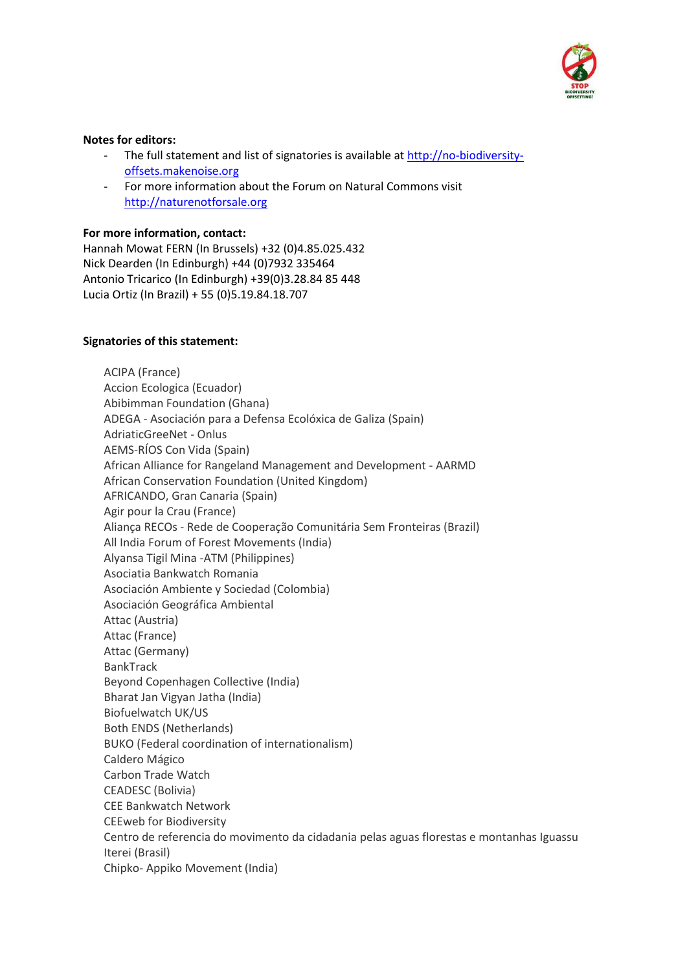

## **Notes for editors:**

- The full statement and list of signatories is available at [http://no-biodiversity](http://no-biodiversity-offsets.makenoise.org/)[offsets.makenoise.org](http://no-biodiversity-offsets.makenoise.org/)
- For more information about the Forum on Natural Commons visit [http://naturenotforsale.org](http://naturenotforsale.org/)

### **For more information, contact:**

Hannah Mowat FERN (In Brussels) +32 (0)4.85.025.432 Nick Dearden (In Edinburgh) +44 (0)7932 335464 Antonio Tricarico (In Edinburgh) +39(0)3.28.84 85 448 Lucia Ortiz (In Brazil) + 55 (0)5.19.84.18.707

### **Signatories of this statement:**

ACIPA (France) Accion Ecologica (Ecuador) Abibimman Foundation (Ghana) ADEGA - Asociación para a Defensa Ecolóxica de Galiza (Spain) AdriaticGreeNet - Onlus AEMS-RÍOS Con Vida (Spain) African Alliance for Rangeland Management and Development - AARMD African Conservation Foundation (United Kingdom) AFRICANDO, Gran Canaria (Spain) Agir pour la Crau (France) Aliança RECOs - Rede de Cooperação Comunitária Sem Fronteiras (Brazil) All India Forum of Forest Movements (India) Alyansa Tigil Mina -ATM (Philippines) Asociatia Bankwatch Romania Asociación Ambiente y Sociedad (Colombia) Asociación Geográfica Ambiental Attac (Austria) Attac (France) Attac (Germany) BankTrack Beyond Copenhagen Collective (India) Bharat Jan Vigyan Jatha (India) Biofuelwatch UK/US Both ENDS (Netherlands) BUKO (Federal coordination of internationalism) Caldero Mágico Carbon Trade Watch CEADESC (Bolivia) CEE Bankwatch Network CEEweb for Biodiversity Centro de referencia do movimento da cidadania pelas aguas florestas e montanhas Iguassu Iterei (Brasil) Chipko- Appiko Movement (India)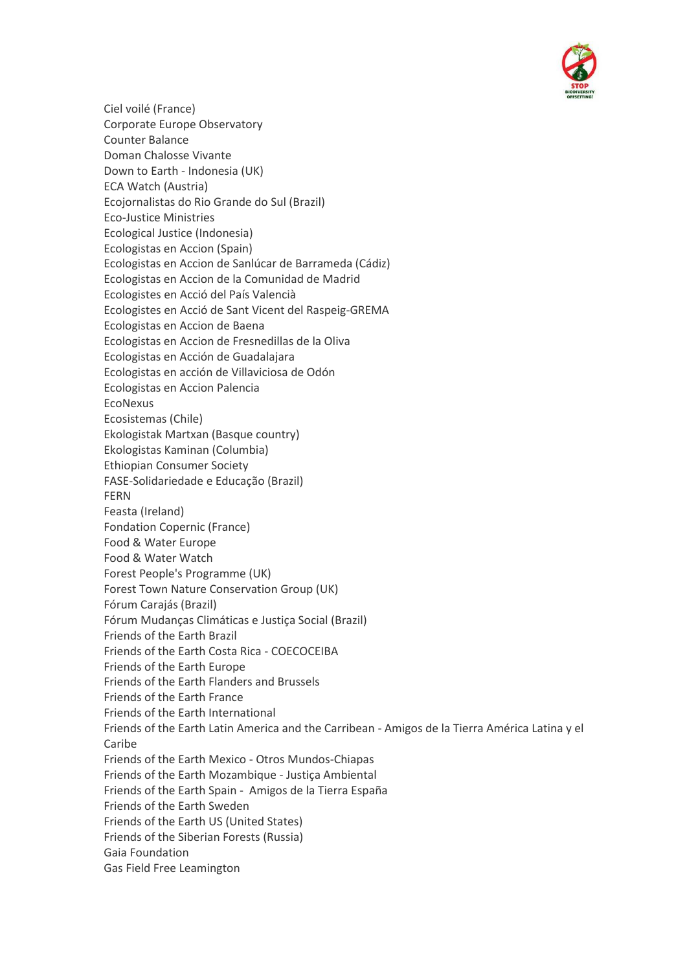

Ciel voilé (France) Corporate Europe Observatory Counter Balance Doman Chalosse Vivante Down to Earth - Indonesia (UK) ECA Watch (Austria) Ecojornalistas do Rio Grande do Sul (Brazil) Eco-Justice Ministries Ecological Justice (Indonesia) Ecologistas en Accion (Spain) Ecologistas en Accion de Sanlúcar de Barrameda (Cádiz) Ecologistas en Accion de la Comunidad de Madrid Ecologistes en Acció del País Valencià Ecologistes en Acció de Sant Vicent del Raspeig-GREMA Ecologistas en Accion de Baena Ecologistas en Accion de Fresnedillas de la Oliva Ecologistas en Acción de Guadalajara Ecologistas en acción de Villaviciosa de Odón Ecologistas en Accion Palencia EcoNexus Ecosistemas (Chile) Ekologistak Martxan (Basque country) Ekologistas Kaminan (Columbia) Ethiopian Consumer Society FASE-Solidariedade e Educação (Brazil) FERN Feasta (Ireland) Fondation Copernic (France) Food & Water Europe Food & Water Watch Forest People's Programme (UK) Forest Town Nature Conservation Group (UK) Fórum Carajás (Brazil) Fórum Mudanças Climáticas e Justiça Social (Brazil) Friends of the Earth Brazil Friends of the Earth Costa Rica - COECOCEIBA Friends of the Earth Europe Friends of the Earth Flanders and Brussels Friends of the Earth France Friends of the Earth International Friends of the Earth Latin America and the Carribean - Amigos de la Tierra América Latina y el Caribe Friends of the Earth Mexico - Otros Mundos-Chiapas Friends of the Earth Mozambique - Justiça Ambiental Friends of the Earth Spain - Amigos de la Tierra España Friends of the Earth Sweden Friends of the Earth US (United States) Friends of the Siberian Forests (Russia) Gaia Foundation Gas Field Free Leamington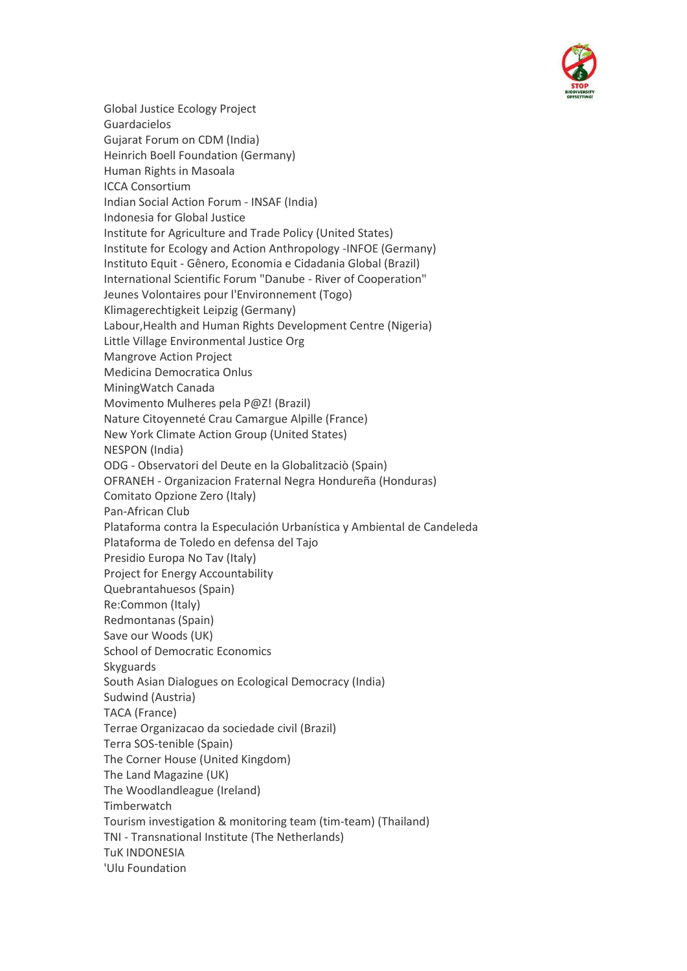

Global Justice Ecology Project Guardacielos Gujarat Forum on CDM (India) Heinrich Boell Foundation (Germany) Human Rights in Masoala ICCA Consortium Indian Social Action Forum - INSAF (India) Indonesia for Global Justice Institute for Agriculture and Trade Policy (United States) Institute for Ecology and Action Anthropology -INFOE (Germany) Instituto Equit - Gênero, Economia e Cidadania Global (Brazil) International Scientific Forum "Danube - River of Cooperation" Jeunes Volontaires pour l'Environnement (Togo) Klimagerechtigkeit Leipzig (Germany) Labour,Health and Human Rights Development Centre (Nigeria) Little Village Environmental Justice Org Mangrove Action Project Medicina Democratica Onlus MiningWatch Canada Movimento Mulheres pela P@Z! (Brazil) Nature Citoyenneté Crau Camargue Alpille (France) New York Climate Action Group (United States) NESPON (India) ODG - Observatori del Deute en la Globalitzaciò (Spain) OFRANEH - Organizacion Fraternal Negra Hondureña (Honduras) Comitato Opzione Zero (Italy) Pan-African Club Plataforma contra la Especulación Urbanística y Ambiental de Candeleda Plataforma de Toledo en defensa del Tajo Presidio Europa No Tav (Italy) Project for Energy Accountability Quebrantahuesos (Spain) Re:Common (Italy) Redmontanas (Spain) Save our Woods (UK) School of Democratic Economics Skyguards South Asian Dialogues on Ecological Democracy (India) Sudwind (Austria) TACA (France) Terrae Organizacao da sociedade civil (Brazil) Terra SOS-tenible (Spain) The Corner House (United Kingdom) The Land Magazine (UK) The Woodlandleague (Ireland) **Timberwatch** Tourism investigation & monitoring team (tim-team) (Thailand) TNI - Transnational Institute (The Netherlands) TuK INDONESIA 'Ulu Foundation